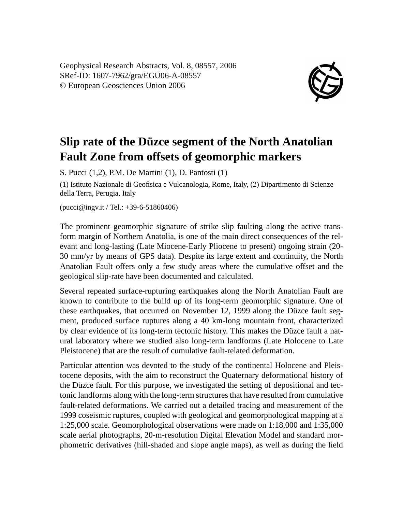Geophysical Research Abstracts, Vol. 8, 08557, 2006 SRef-ID: 1607-7962/gra/EGU06-A-08557 © European Geosciences Union 2006



## **Slip rate of the Düzce segment of the North Anatolian Fault Zone from offsets of geomorphic markers**

S. Pucci (1,2), P.M. De Martini (1), D. Pantosti (1)

(1) Istituto Nazionale di Geofisica e Vulcanologia, Rome, Italy, (2) Dipartimento di Scienze della Terra, Perugia, Italy

(pucci@ingv.it / Tel.: +39-6-51860406)

The prominent geomorphic signature of strike slip faulting along the active transform margin of Northern Anatolia, is one of the main direct consequences of the relevant and long-lasting (Late Miocene-Early Pliocene to present) ongoing strain (20- 30 mm/yr by means of GPS data). Despite its large extent and continuity, the North Anatolian Fault offers only a few study areas where the cumulative offset and the geological slip-rate have been documented and calculated.

Several repeated surface-rupturing earthquakes along the North Anatolian Fault are known to contribute to the build up of its long-term geomorphic signature. One of these earthquakes, that occurred on November 12, 1999 along the Düzce fault segment, produced surface ruptures along a 40 km-long mountain front, characterized by clear evidence of its long-term tectonic history. This makes the Düzce fault a natural laboratory where we studied also long-term landforms (Late Holocene to Late Pleistocene) that are the result of cumulative fault-related deformation.

Particular attention was devoted to the study of the continental Holocene and Pleistocene deposits, with the aim to reconstruct the Quaternary deformational history of the Düzce fault. For this purpose, we investigated the setting of depositional and tectonic landforms along with the long-term structures that have resulted from cumulative fault-related deformations. We carried out a detailed tracing and measurement of the 1999 coseismic ruptures, coupled with geological and geomorphological mapping at a 1:25,000 scale. Geomorphological observations were made on 1:18,000 and 1:35,000 scale aerial photographs, 20-m-resolution Digital Elevation Model and standard morphometric derivatives (hill-shaded and slope angle maps), as well as during the field